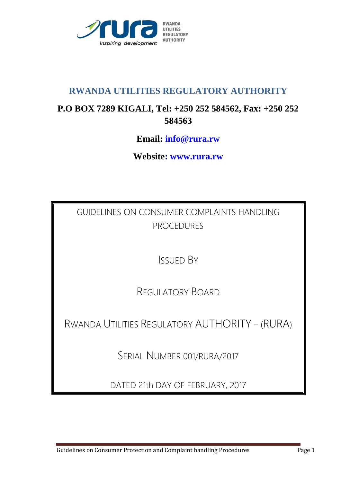

## **RWANDA UTILITIES REGULATORY AUTHORITY**

# **P.O BOX 7289 KIGALI, Tel: +250 252 584562, Fax: +250 252 584563**

## **Email: info@rura.rw**

**Website: www.rura.rw**

GUIDELINES ON CONSUMER COMPLAINTS HANDLING PROCEDURES

ISSUED BY

REGULATORY BOARD

RWANDA UTILITIES REGULATORY AUTHORITY – (RURA)

SERIAL NUMBER 001/RURA/2017

DATED 21th DAY OF FEBRUARY, 2017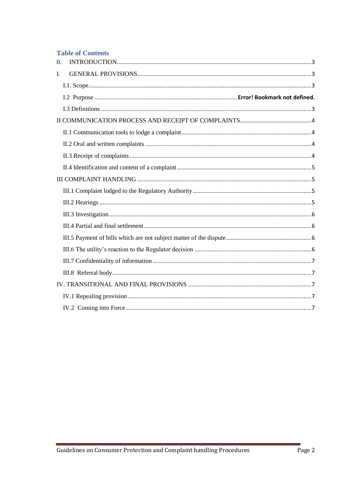#### **Table of Contents**

| $\overline{0}$ . |  |
|------------------|--|
| I.               |  |
|                  |  |
|                  |  |
|                  |  |
|                  |  |
|                  |  |
|                  |  |
|                  |  |
|                  |  |
|                  |  |
|                  |  |
|                  |  |
|                  |  |
|                  |  |
|                  |  |
|                  |  |
|                  |  |
|                  |  |
|                  |  |
|                  |  |
|                  |  |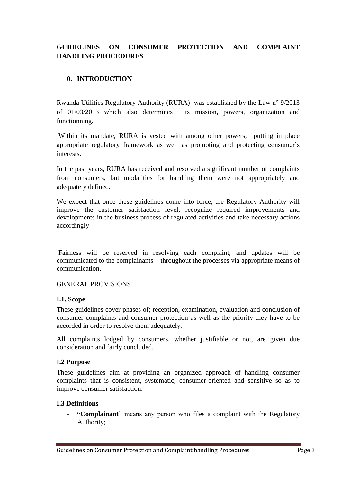## **GUIDELINES ON CONSUMER PROTECTION AND COMPLAINT HANDLING PROCEDURES**

#### <span id="page-2-0"></span>**0. INTRODUCTION**

Rwanda Utilities Regulatory Authority (RURA) was established by the Law n° 9/2013 of 01/03/2013 which also determines its mission, powers, organization and functionning.

Within its mandate, RURA is vested with among other powers, putting in place appropriate regulatory framework as well as promoting and protecting consumer's interests.

In the past years, RURA has received and resolved a significant number of complaints from consumers, but modalities for handling them were not appropriately and adequately defined.

We expect that once these guidelines come into force, the Regulatory Authority will improve the customer satisfaction level, recognize required improvements and developments in the business process of regulated activities and take necessary actions accordingly

<span id="page-2-1"></span>Fairness will be reserved in resolving each complaint, and updates will be communicated to the complainants throughout the processes via appropriate means of communication.

#### GENERAL PROVISIONS

#### <span id="page-2-2"></span>**I.1. Scope**

These guidelines cover phases of; reception, examination, evaluation and conclusion of consumer complaints and consumer protection as well as the priority they have to be accorded in order to resolve them adequately.

All complaints lodged by consumers, whether justifiable or not, are given due consideration and fairly concluded.

#### **I.2 Purpose**

These guidelines aim at providing an organized approach of handling consumer complaints that is consistent, systematic, consumer-oriented and sensitive so as to improve consumer satisfaction.

#### <span id="page-2-3"></span>**I.3 Definitions**

"Complainant" means any person who files a complaint with the Regulatory Authority;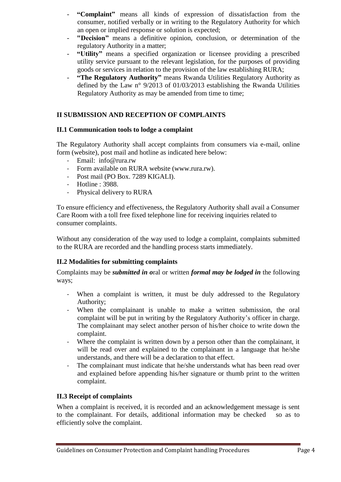- **"Complaint"** means all kinds of expression of dissatisfaction from the consumer, notified verbally or in writing to the Regulatory Authority for which an open or implied response or solution is expected;
- "Decision" means a definitive opinion, conclusion, or determination of the regulatory Authority in a matter;
- **"Utility"** means a specified organization or licensee providing a prescribed utility service pursuant to the relevant legislation, for the purposes of providing goods or services in relation to the provision of the law establishing RURA;
- **"The Regulatory Authority"** means Rwanda Utilities Regulatory Authority as defined by the Law n° 9/2013 of 01/03/2013 establishing the Rwanda Utilities Regulatory Authority as may be amended from time to time;

## <span id="page-3-0"></span>**II SUBMISSION AND RECEPTION OF COMPLAINTS**

#### <span id="page-3-1"></span>**II.1 Communication tools to lodge a complaint**

The Regulatory Authority shall accept complaints from consumers via e-mail, online form (website), post mail and hotline as indicated here below:

- Email: info@rura.rw
- Form available on RURA website (www.rura.rw).
- Post mail (PO Box. 7289 KIGALI).
- Hotline : 3988.
- Physical delivery to RURA

To ensure efficiency and effectiveness, the Regulatory Authority shall avail a Consumer Care Room with a toll free fixed telephone line for receiving inquiries related to consumer complaints.

Without any consideration of the way used to lodge a complaint, complaints submitted to the RURA are recorded and the handling process starts immediately.

## **II.2 Modalities for submitting complaints**

Complaints may be *submitted in o*ral or written *formal may be lodged in* the following ways:

- <span id="page-3-2"></span>- When a complaint is written, it must be duly addressed to the Regulatory Authority;
- When the complainant is unable to make a written submission, the oral complaint will be put in writing by the Regulatory Authority's officer in charge. The complainant may select another person of his/her choice to write down the complaint.
- Where the complaint is written down by a person other than the complainant, it will be read over and explained to the complainant in a language that he/she understands, and there will be a declaration to that effect.
- The complainant must indicate that he/she understands what has been read over and explained before appending his/her signature or thumb print to the written complaint.

## <span id="page-3-3"></span>**II.3 Receipt of complaints**

When a complaint is received, it is recorded and an acknowledgement message is sent to the complainant. For details, additional information may be checked so as to efficiently solve the complaint.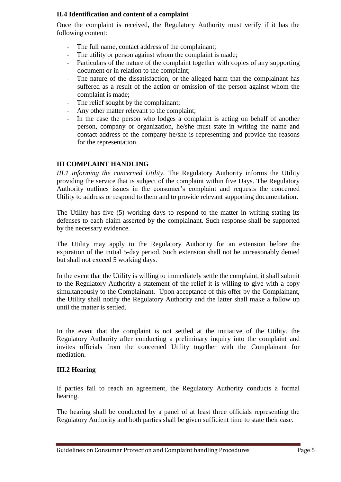#### <span id="page-4-0"></span>**II.4 Identification and content of a complaint**

Once the complaint is received, the Regulatory Authority must verify if it has the following content:

- The full name, contact address of the complainant;
- The utility or person against whom the complaint is made;
- Particulars of the nature of the complaint together with copies of any supporting document or in relation to the complaint;
- The nature of the dissatisfaction, or the alleged harm that the complainant has suffered as a result of the action or omission of the person against whom the complaint is made;
- The relief sought by the complainant;
- Any other matter relevant to the complaint;
- In the case the person who lodges a complaint is acting on behalf of another person, company or organization, he/she must state in writing the name and contact address of the company he/she is representing and provide the reasons for the representation.

## <span id="page-4-1"></span>**III COMPLAINT HANDLING**

<span id="page-4-2"></span>*III.1 informing the concerned Utility*. The Regulatory Authority informs the Utility providing the service that is subject of the complaint within five Days. The Regulatory Authority outlines issues in the consumer's complaint and requests the concerned Utility to address or respond to them and to provide relevant supporting documentation.

The Utility has five (5) working days to respond to the matter in writing stating its defenses to each claim asserted by the complainant. Such response shall be supported by the necessary evidence.

The Utility may apply to the Regulatory Authority for an extension before the expiration of the initial 5-day period. Such extension shall not be unreasonably denied but shall not exceed 5 working days.

In the event that the Utility is willing to immediately settle the complaint, it shall submit to the Regulatory Authority a statement of the relief it is willing to give with a copy simultaneously to the Complainant. Upon acceptance of this offer by the Complainant, the Utility shall notify the Regulatory Authority and the latter shall make a follow up until the matter is settled.

In the event that the complaint is not settled at the initiative of the Utility. the Regulatory Authority after conducting a preliminary inquiry into the complaint and invites officials from the concerned Utility together with the Complainant for mediation.

## <span id="page-4-3"></span>**III.2 Hearing**

If parties fail to reach an agreement, the Regulatory Authority conducts a formal hearing.

The hearing shall be conducted by a panel of at least three officials representing the Regulatory Authority and both parties shall be given sufficient time to state their case.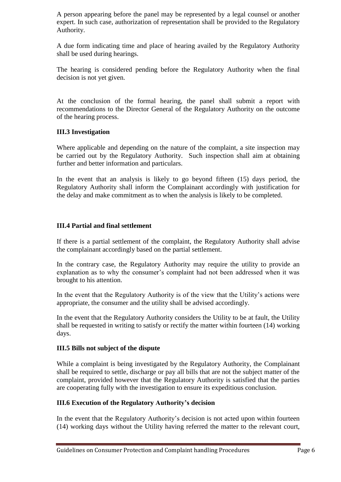A person appearing before the panel may be represented by a legal counsel or another expert. In such case, authorization of representation shall be provided to the Regulatory Authority.

A due form indicating time and place of hearing availed by the Regulatory Authority shall be used during hearings.

The hearing is considered pending before the Regulatory Authority when the final decision is not yet given.

At the conclusion of the formal hearing, the panel shall submit a report with recommendations to the Director General of the Regulatory Authority on the outcome of the hearing process.

#### <span id="page-5-0"></span>**III.3 Investigation**

Where applicable and depending on the nature of the complaint, a site inspection may be carried out by the Regulatory Authority. Such inspection shall aim at obtaining further and better information and particulars.

In the event that an analysis is likely to go beyond fifteen (15) days period, the Regulatory Authority shall inform the Complainant accordingly with justification for the delay and make commitment as to when the analysis is likely to be completed.

#### <span id="page-5-1"></span>**III.4 Partial and final settlement**

If there is a partial settlement of the complaint, the Regulatory Authority shall advise the complainant accordingly based on the partial settlement.

In the contrary case, the Regulatory Authority may require the utility to provide an explanation as to why the consumer's complaint had not been addressed when it was brought to his attention.

In the event that the Regulatory Authority is of the view that the Utility's actions were appropriate, the consumer and the utility shall be advised accordingly.

In the event that the Regulatory Authority considers the Utility to be at fault, the Utility shall be requested in writing to satisfy or rectify the matter within fourteen (14) working days.

#### <span id="page-5-2"></span>**III.5 Bills not subject of the dispute**

While a complaint is being investigated by the Regulatory Authority, the Complainant shall be required to settle, discharge or pay all bills that are not the subject matter of the complaint, provided however that the Regulatory Authority is satisfied that the parties are cooperating fully with the investigation to ensure its expeditious conclusion.

#### <span id="page-5-3"></span>**III.6 Execution of the Regulatory Authority's decision**

In the event that the Regulatory Authority's decision is not acted upon within fourteen (14) working days without the Utility having referred the matter to the relevant court,